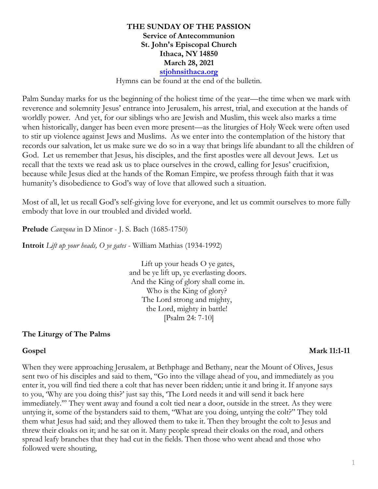### **THE SUNDAY OF THE PASSION Service of Antecommunion St. John's Episcopal Church Ithaca, NY 14850 March 28, 2021 stjohnsithaca.org**

Hymns can be found at the end of the bulletin.

Palm Sunday marks for us the beginning of the holiest time of the year—the time when we mark with reverence and solemnity Jesus' entrance into Jerusalem, his arrest, trial, and execution at the hands of worldly power. And yet, for our siblings who are Jewish and Muslim, this week also marks a time when historically, danger has been even more present—as the liturgies of Holy Week were often used to stir up violence against Jews and Muslims. As we enter into the contemplation of the history that records our salvation, let us make sure we do so in a way that brings life abundant to all the children of God. Let us remember that Jesus, his disciples, and the first apostles were all devout Jews. Let us recall that the texts we read ask us to place ourselves in the crowd, calling for Jesus' crucifixion, because while Jesus died at the hands of the Roman Empire, we profess through faith that it was humanity's disobedience to God's way of love that allowed such a situation.

Most of all, let us recall God's self-giving love for everyone, and let us commit ourselves to more fully embody that love in our troubled and divided world.

**Prelude** *Canzona* in D Minor - J. S. Bach (1685-1750)

**Introit** *Lift up your heads, O ye gates* - William Mathias (1934-1992)

Lift up your heads  $O$  ye gates, and be ye lift up, ye everlasting doors. And the King of glory shall come in. Who is the King of glory? The Lord strong and mighty, the Lord, mighty in battle! [Psalm 24: 7-10]

## **The Liturgy of The Palms**

When they were approaching Jerusalem, at Bethphage and Bethany, near the Mount of Olives, Jesus sent two of his disciples and said to them, "Go into the village ahead of you, and immediately as you enter it, you will find tied there a colt that has never been ridden; untie it and bring it. If anyone says to you, 'Why are you doing this?' just say this, 'The Lord needs it and will send it back here immediately.'" They went away and found a colt tied near a door, outside in the street. As they were untying it, some of the bystanders said to them, "What are you doing, untying the colt?" They told them what Jesus had said; and they allowed them to take it. Then they brought the colt to Jesus and threw their cloaks on it; and he sat on it. Many people spread their cloaks on the road, and others spread leafy branches that they had cut in the fields. Then those who went ahead and those who followed were shouting,

# **Gospel Mark 11:1-11**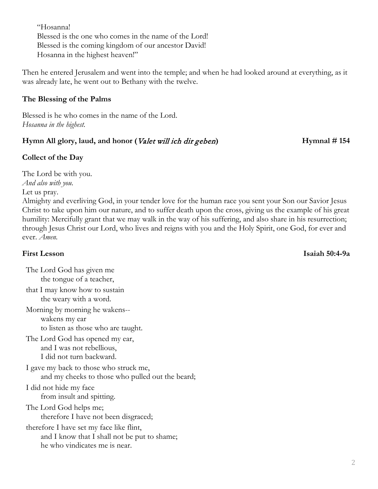"Hosanna! Blessed is the one who comes in the name of the Lord! Blessed is the coming kingdom of our ancestor David! Hosanna in the highest heaven!"

Then he entered Jerusalem and went into the temple; and when he had looked around at everything, as it was already late, he went out to Bethany with the twelve.

### **The Blessing of the Palms**

Blessed is he who comes in the name of the Lord. *Hosanna in the highest.*

### **Hymn All glory, laud, and honor (**Valet will ich dir geben**) Hymnal # 154**

#### **Collect of the Day**

The Lord be with you.

*And also with you.*

Let us pray.

Almighty and everliving God, in your tender love for the human race you sent your Son our Savior Jesus Christ to take upon him our nature, and to suffer death upon the cross, giving us the example of his great humility: Mercifully grant that we may walk in the way of his suffering, and also share in his resurrection; through Jesus Christ our Lord, who lives and reigns with you and the Holy Spirit, one God, for ever and ever. *Amen.*

The Lord God has given me the tongue of a teacher, that I may know how to sustain the weary with a word. Morning by morning he wakens- wakens my ear to listen as those who are taught. The Lord God has opened my ear, and I was not rebellious, I did not turn backward. I gave my back to those who struck me, and my cheeks to those who pulled out the beard; I did not hide my face from insult and spitting. The Lord God helps me; therefore I have not been disgraced; therefore I have set my face like flint, and I know that I shall not be put to shame; he who vindicates me is near.

**First Lesson Isaiah 50:4-9a**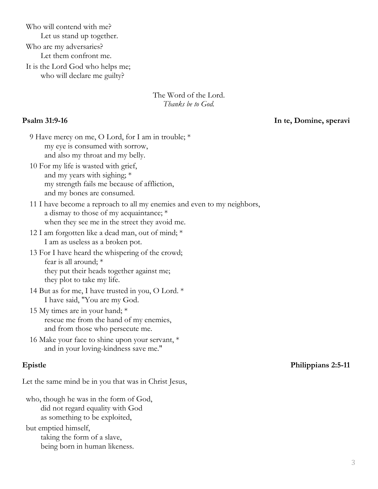Who will contend with me?

Let us stand up together.

Who are my adversaries?

Let them confront me.

It is the Lord God who helps me; who will declare me guilty?

#### The Word of the Lord. *Thanks be to God.*

### **Psalm 31:9-16** In te, Domine, speravi

- 9 Have mercy on me, O Lord, for I am in trouble; \* my eye is consumed with sorrow, and also my throat and my belly.
- 10 For my life is wasted with grief, and my years with sighing; \* my strength fails me because of affliction, and my bones are consumed.
- 11 I have become a reproach to all my enemies and even to my neighbors, a dismay to those of my acquaintance; \* when they see me in the street they avoid me.
- 12 I am forgotten like a dead man, out of mind; \* I am as useless as a broken pot.
- 13 For I have heard the whispering of the crowd; fear is all around; \* they put their heads together against me; they plot to take my life.
- 14 But as for me, I have trusted in you, O Lord. \* I have said, "You are my God.
- 15 My times are in your hand; \* rescue me from the hand of my enemies, and from those who persecute me.
- 16 Make your face to shine upon your servant, \* and in your loving-kindness save me."

Let the same mind be in you that was in Christ Jesus,

who, though he was in the form of God, did not regard equality with God as something to be exploited,

but emptied himself, taking the form of a slave, being born in human likeness.

**Epistle Philippians 2:5-11**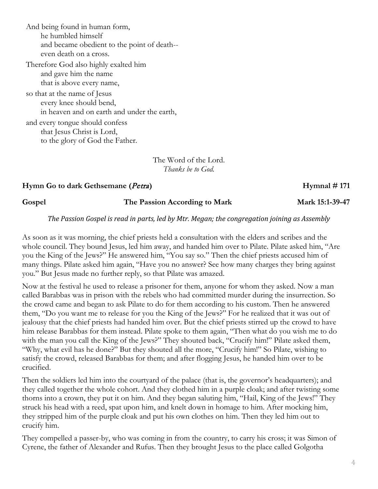| And being found in human form,              |
|---------------------------------------------|
| he humbled himself                          |
| and became obedient to the point of death-- |
| even death on a cross.                      |
| Therefore God also highly exalted him       |
| and gave him the name                       |
| that is above every name,                   |
| so that at the name of Jesus                |
| every knee should bend,                     |
| in heaven and on earth and under the earth, |
| and every tongue should confess             |
| that Jesus Christ is Lord,                  |
| to the glory of God the Father.             |

The Word of the Lord. *Thanks be to God.*

### **Hymn Go to dark Gethsemane (**Petra**) Hymnal # 171**

#### Gospel **The Passion According to Mark Mark** 15:1-39-47

#### *The Passion Gospel is read in parts, led by Mtr. Megan; the congregation joining as Assembly*

As soon as it was morning, the chief priests held a consultation with the elders and scribes and the whole council. They bound Jesus, led him away, and handed him over to Pilate. Pilate asked him, "Are you the King of the Jews?" He answered him, "You say so." Then the chief priests accused him of many things. Pilate asked him again, "Have you no answer? See how many charges they bring against you." But Jesus made no further reply, so that Pilate was amazed.

Now at the festival he used to release a prisoner for them, anyone for whom they asked. Now a man called Barabbas was in prison with the rebels who had committed murder during the insurrection. So the crowd came and began to ask Pilate to do for them according to his custom. Then he answered them, "Do you want me to release for you the King of the Jews?" For he realized that it was out of jealousy that the chief priests had handed him over. But the chief priests stirred up the crowd to have him release Barabbas for them instead. Pilate spoke to them again, "Then what do you wish me to do with the man you call the King of the Jews?" They shouted back, "Crucify him!" Pilate asked them, "Why, what evil has he done?" But they shouted all the more, "Crucify him!" So Pilate, wishing to satisfy the crowd, released Barabbas for them; and after flogging Jesus, he handed him over to be crucified.

Then the soldiers led him into the courtyard of the palace (that is, the governor's headquarters); and they called together the whole cohort. And they clothed him in a purple cloak; and after twisting some thorns into a crown, they put it on him. And they began saluting him, "Hail, King of the Jews!" They struck his head with a reed, spat upon him, and knelt down in homage to him. After mocking him, they stripped him of the purple cloak and put his own clothes on him. Then they led him out to crucify him.

They compelled a passer-by, who was coming in from the country, to carry his cross; it was Simon of Cyrene, the father of Alexander and Rufus. Then they brought Jesus to the place called Golgotha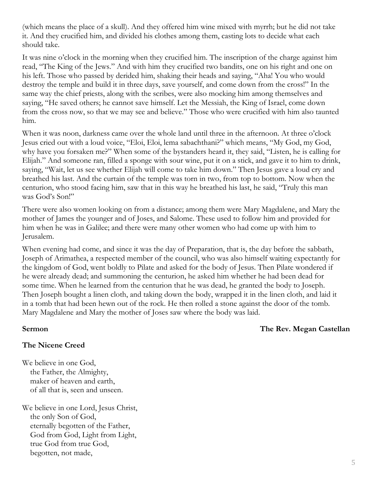(which means the place of a skull). And they offered him wine mixed with myrrh; but he did not take it. And they crucified him, and divided his clothes among them, casting lots to decide what each should take.

It was nine o'clock in the morning when they crucified him. The inscription of the charge against him read, "The King of the Jews." And with him they crucified two bandits, one on his right and one on his left. Those who passed by derided him, shaking their heads and saying, "Aha! You who would destroy the temple and build it in three days, save yourself, and come down from the cross!" In the same way the chief priests, along with the scribes, were also mocking him among themselves and saying, "He saved others; he cannot save himself. Let the Messiah, the King of Israel, come down from the cross now, so that we may see and believe." Those who were crucified with him also taunted him.

When it was noon, darkness came over the whole land until three in the afternoon. At three o'clock Jesus cried out with a loud voice, "Eloi, Eloi, lema sabachthani?" which means, "My God, my God, why have you forsaken me?" When some of the bystanders heard it, they said, "Listen, he is calling for Elijah." And someone ran, filled a sponge with sour wine, put it on a stick, and gave it to him to drink, saying, "Wait, let us see whether Elijah will come to take him down." Then Jesus gave a loud cry and breathed his last. And the curtain of the temple was torn in two, from top to bottom. Now when the centurion, who stood facing him, saw that in this way he breathed his last, he said, "Truly this man was God's Son!"

There were also women looking on from a distance; among them were Mary Magdalene, and Mary the mother of James the younger and of Joses, and Salome. These used to follow him and provided for him when he was in Galilee; and there were many other women who had come up with him to Jerusalem.

When evening had come, and since it was the day of Preparation, that is, the day before the sabbath, Joseph of Arimathea, a respected member of the council, who was also himself waiting expectantly for the kingdom of God, went boldly to Pilate and asked for the body of Jesus. Then Pilate wondered if he were already dead; and summoning the centurion, he asked him whether he had been dead for some time. When he learned from the centurion that he was dead, he granted the body to Joseph. Then Joseph bought a linen cloth, and taking down the body, wrapped it in the linen cloth, and laid it in a tomb that had been hewn out of the rock. He then rolled a stone against the door of the tomb. Mary Magdalene and Mary the mother of Joses saw where the body was laid.

**Sermon The Rev. Megan Castellan**

# **The Nicene Creed**

We believe in one God, the Father, the Almighty, maker of heaven and earth, of all that is, seen and unseen.

We believe in one Lord, Jesus Christ, the only Son of God, eternally begotten of the Father, God from God, Light from Light, true God from true God, begotten, not made,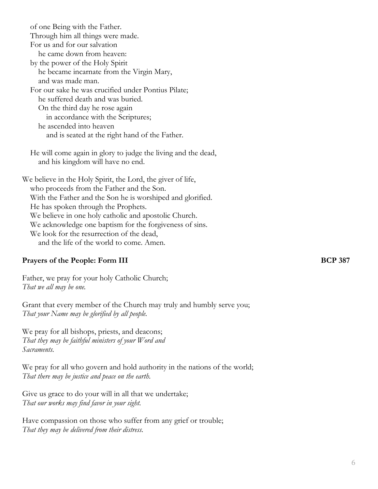of one Being with the Father. Through him all things were made. For us and for our salvation he came down from heaven: by the power of the Holy Spirit he became incarnate from the Virgin Mary, and was made man. For our sake he was crucified under Pontius Pilate; he suffered death and was buried. On the third day he rose again in accordance with the Scriptures; he ascended into heaven and is seated at the right hand of the Father. He will come again in glory to judge the living and the dead, and his kingdom will have no end. We believe in the Holy Spirit, the Lord, the giver of life, who proceeds from the Father and the Son. With the Father and the Son he is worshiped and glorified. He has spoken through the Prophets. We believe in one holy catholic and apostolic Church. We acknowledge one baptism for the forgiveness of sins. We look for the resurrection of the dead, and the life of the world to come. Amen.

#### **Prayers of the People: Form III BCP 387**

Father, we pray for your holy Catholic Church; *That we all may be one.*

Grant that every member of the Church may truly and humbly serve you; *That your Name may be glorified by all people.*

We pray for all bishops, priests, and deacons; *That they may be faithful ministers of your Word and Sacraments.*

We pray for all who govern and hold authority in the nations of the world; *That there may be justice and peace on the earth.*

Give us grace to do your will in all that we undertake; *That our works may find favor in your sight.*

Have compassion on those who suffer from any grief or trouble; *That they may be delivered from their distress.*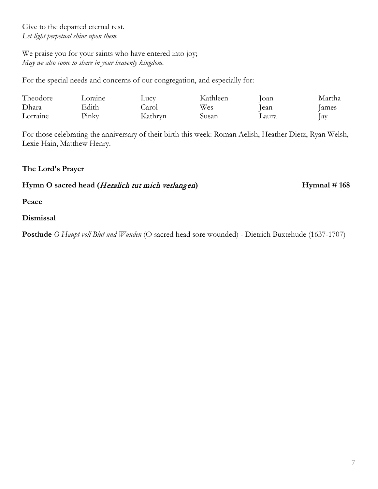Give to the departed eternal rest. *Let light perpetual shine upon them.*

We praise you for your saints who have entered into joy; *May we also come to share in your heavenly kingdom.*

For the special needs and concerns of our congregation, and especially for:

| Theodore | oraine - | $\overline{\text{Lucv}}$ | Kathleen | Ioan  | Martha |
|----------|----------|--------------------------|----------|-------|--------|
| Dhara    | Edith    | larol                    | Wes      | lean  | lames  |
| Lorraine | Pinky    | Kathrvn                  | Susan    | Laura | lav    |

For those celebrating the anniversary of their birth this week: Roman Aelish, Heather Dietz, Ryan Welsh, Lexie Hain, Matthew Henry.

# **The Lord's Prayer**

**Hymn O sacred head (**Herzlich tut mich verlangen**) Hymnal # 168**

**Peace**

**Dismissal**

**Postlude** *O Haupt voll Blut und Wunden* (O sacred head sore wounded) - Dietrich Buxtehude (1637-1707)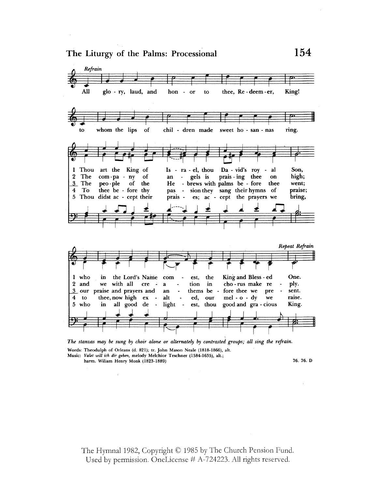

The stanzas may be sung by choir alone or alternately by contrasted groups; all sing the refrain. Words: Theodulph of Orleans (d. 821); tr. John Mason Neale (1818-1866), alt. Music: Valet will ich dir geben, melody Melchior Teschner (1584-1635), alt.; harm. Wiliam Henry Monk (1823-1889)

The Hymnal 1982, Copyright © 1985 by The Church Pension Fund. Used by permission. OneLicense # A-724223. All rights reserved.

76. 76. D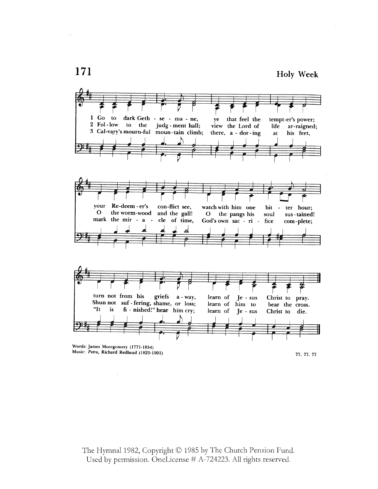**Holy Week** 

 $\sim$ 



Music: Petra, Richard Redhead (1820-1901)

 $\bar{r}$ 

77. 77. 77

The Hymnal 1982, Copyright © 1985 by The Church Pension Fund. Used by permission. OneLicense # A-724223. All rights reserved.

171

 $\hat{r}$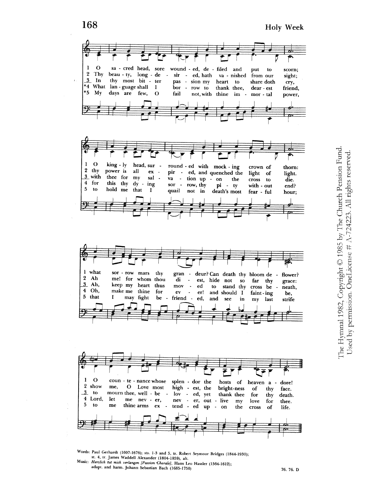







Words: Paul Gerhardt (1607-1676); sts. 1-3 and 5, tr. Robert Seymour Bridges (1844-1930); st. 4, tr. James Waddell Alexander (1804-1859), alt.

Music: Herzlich tut mich verlangen [Passion Chorale], Hans Leo Hassler (1564-1612); adapt. and harm. Johann Sebastian Bach (1685-1750)